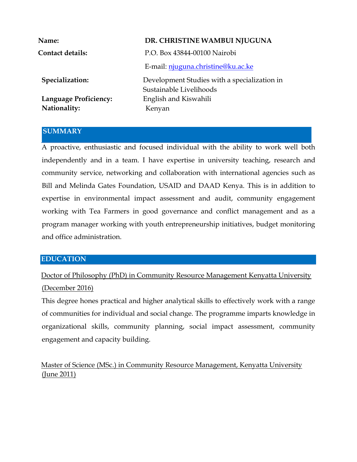| <b>Name:</b>                                 | DR. CHRISTINE WAMBUI NJUGUNA                                            |  |
|----------------------------------------------|-------------------------------------------------------------------------|--|
| <b>Contact details:</b>                      | P.O. Box 43844-00100 Nairobi                                            |  |
|                                              | E-mail: njuguna.christine@ku.ac.ke                                      |  |
| Specialization:                              | Development Studies with a specialization in<br>Sustainable Livelihoods |  |
| <b>Language Proficiency:</b><br>Nationality: | English and Kiswahili<br>Kenyan                                         |  |
|                                              |                                                                         |  |

### **SUMMARY**

A proactive, enthusiastic and focused individual with the ability to work well both independently and in a team. I have expertise in university teaching, research and community service, networking and collaboration with international agencies such as Bill and Melinda Gates Foundation, USAID and DAAD Kenya. This is in addition to expertise in environmental impact assessment and audit, community engagement working with Tea Farmers in good governance and conflict management and as a program manager working with youth entrepreneurship initiatives, budget monitoring and office administration.

### **EDUCATION**

Doctor of Philosophy (PhD) in Community Resource Management Kenyatta University (December 2016)

This degree hones practical and higher analytical skills to effectively work with a range of communities for individual and social change. The programme imparts knowledge in organizational skills, community planning, social impact assessment, community engagement and capacity building.

Master of Science (MSc.) in Community Resource Management, Kenyatta University (June 2011)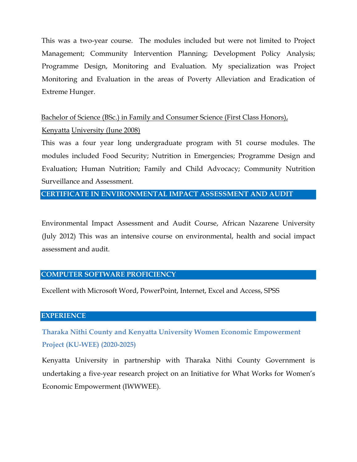This was a two-year course. The modules included but were not limited to Project Management; Community Intervention Planning; Development Policy Analysis; Programme Design, Monitoring and Evaluation. My specialization was Project Monitoring and Evaluation in the areas of Poverty Alleviation and Eradication of Extreme Hunger.

# Bachelor of Science (BSc.) in Family and Consumer Science (First Class Honors), Kenyatta University (June 2008)

This was a four year long undergraduate program with 51 course modules. The modules included Food Security; Nutrition in Emergencies; Programme Design and Evaluation; Human Nutrition; Family and Child Advocacy; Community Nutrition Surveillance and Assessment.

### **CERTIFICATE IN ENVIRONMENTAL IMPACT ASSESSMENT AND AUDIT**

Environmental Impact Assessment and Audit Course, African Nazarene University (July 2012) This was an intensive course on environmental, health and social impact assessment and audit.

### **COMPUTER SOFTWARE PROFICIENCY**

Excellent with Microsoft Word, PowerPoint, Internet, Excel and Access, SPSS

### **EXPERIENCE**

**Tharaka Nithi County and Kenyatta University Women Economic Empowerment Project (KU-WEE) (2020-2025)**

Kenyatta University in partnership with Tharaka Nithi County Government is undertaking a five-year research project on an Initiative for What Works for Women's Economic Empowerment (IWWWEE).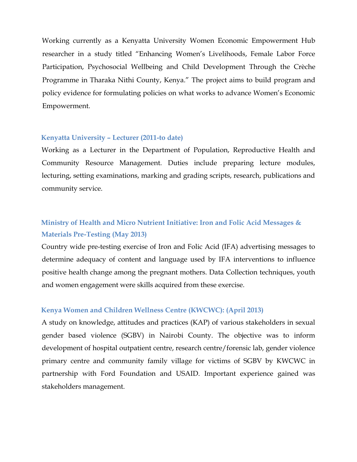Working currently as a Kenyatta University Women Economic Empowerment Hub researcher in a study titled "Enhancing Women's Livelihoods, Female Labor Force Participation, Psychosocial Wellbeing and Child Development Through the Crèche Programme in Tharaka Nithi County, Kenya." The project aims to build program and policy evidence for formulating policies on what works to advance Women's Economic Empowerment.

#### **Kenyatta University – Lecturer (2011-to date)**

Working as a Lecturer in the Department of Population, Reproductive Health and Community Resource Management. Duties include preparing lecture modules, lecturing, setting examinations, marking and grading scripts, research, publications and community service.

# **Ministry of Health and Micro Nutrient Initiative: Iron and Folic Acid Messages & Materials Pre-Testing (May 2013)**

Country wide pre-testing exercise of Iron and Folic Acid (IFA) advertising messages to determine adequacy of content and language used by IFA interventions to influence positive health change among the pregnant mothers. Data Collection techniques, youth and women engagement were skills acquired from these exercise.

#### **Kenya Women and Children Wellness Centre (KWCWC): (April 2013)**

A study on knowledge, attitudes and practices (KAP) of various stakeholders in sexual gender based violence (SGBV) in Nairobi County. The objective was to inform development of hospital outpatient centre, research centre/forensic lab, gender violence primary centre and community family village for victims of SGBV by KWCWC in partnership with Ford Foundation and USAID. Important experience gained was stakeholders management.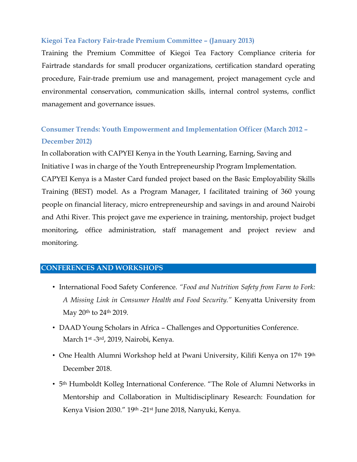### **Kiegoi Tea Factory Fair-trade Premium Committee – (January 2013)**

Training the Premium Committee of Kiegoi Tea Factory Compliance criteria for Fairtrade standards for small producer organizations, certification standard operating procedure, Fair-trade premium use and management, project management cycle and environmental conservation, communication skills, internal control systems, conflict management and governance issues.

# **Consumer Trends: Youth Empowerment and Implementation Officer (March 2012 – December 2012)**

In collaboration with CAPYEI Kenya in the Youth Learning, Earning, Saving and Initiative I was in charge of the Youth Entrepreneurship Program Implementation. CAPYEI Kenya is a Master Card funded project based on the Basic Employability Skills Training (BEST) model. As a Program Manager, I facilitated training of 360 young people on financial literacy, micro entrepreneurship and savings in and around Nairobi and Athi River. This project gave me experience in training, mentorship, project budget monitoring, office administration, staff management and project review and monitoring.

### **CONFERENCES AND WORKSHOPS**

- International Food Safety Conference. *"Food and Nutrition Safety from Farm to Fork: A Missing Link in Consumer Health and Food Security."* Kenyatta University from May 20th to 24th 2019.
- DAAD Young Scholars in Africa Challenges and Opportunities Conference. March 1st -3rd, 2019, Nairobi, Kenya.
- One Health Alumni Workshop held at Pwani University, Kilifi Kenya on 17<sup>th</sup> 19<sup>th</sup> December 2018.
- 5th Humboldt Kolleg International Conference. "The Role of Alumni Networks in Mentorship and Collaboration in Multidisciplinary Research: Foundation for Kenya Vision 2030." 19th -21st June 2018, Nanyuki, Kenya.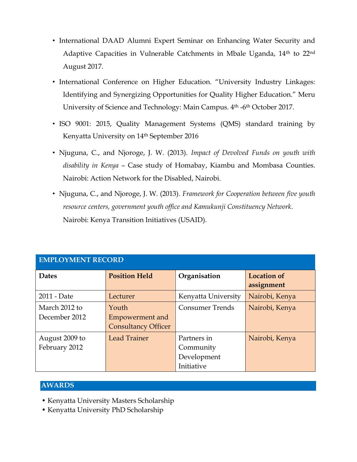- International DAAD Alumni Expert Seminar on Enhancing Water Security and Adaptive Capacities in Vulnerable Catchments in Mbale Uganda, 14<sup>th</sup> to 22<sup>nd</sup> August 2017.
- International Conference on Higher Education. "University Industry Linkages: Identifying and Synergizing Opportunities for Quality Higher Education." Meru University of Science and Technology: Main Campus. 4<sup>th</sup> -6<sup>th</sup> October 2017.
- ISO 9001: 2015, Quality Management Systems (QMS) standard training by Kenyatta University on 14th September 2016
- Njuguna, C., and Njoroge, J. W. (2013). *Impact of Devolved Funds on youth with disability in Kenya* – Case study of Homabay, Kiambu and Mombasa Counties. Nairobi: Action Network for the Disabled, Nairobi.
- Njuguna, C., and Njoroge, J. W. (2013). *Framework for Cooperation between five youth resource centers, government youth office and Kamukunji Constituency Network*. Nairobi: Kenya Transition Initiatives (USAID).

| EMI LOTIVIENT RECORD            |                                                        |                                                       |                                  |  |
|---------------------------------|--------------------------------------------------------|-------------------------------------------------------|----------------------------------|--|
| <b>Dates</b>                    | <b>Position Held</b>                                   | Organisation                                          | <b>Location of</b><br>assignment |  |
| 2011 - Date                     | Lecturer                                               | Kenyatta University                                   | Nairobi, Kenya                   |  |
| March 2012 to<br>December 2012  | Youth<br>Empowerment and<br><b>Consultancy Officer</b> | <b>Consumer Trends</b>                                | Nairobi, Kenya                   |  |
| August 2009 to<br>February 2012 | Lead Trainer                                           | Partners in<br>Community<br>Development<br>Initiative | Nairobi, Kenya                   |  |

## **EMPLOYMENT RECORD**

### **AWARDS**

- Kenyatta University Masters Scholarship
- Kenyatta University PhD Scholarship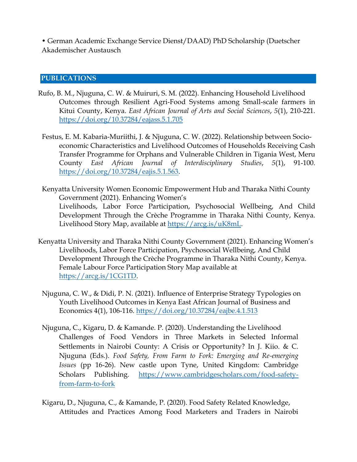• German Academic Exchange Service Dienst/DAAD) PhD Scholarship (Duetscher Akademischer Austausch

#### **PUBLICATIONS**

- Rufo, B. M., Njuguna, C. W. & Muiruri, S. M. (2022). Enhancing Household Livelihood Outcomes through Resilient Agri-Food Systems among Small-scale farmers in Kitui County, Kenya. *East African Journal of Arts and Social Sciences*, *5*(1), 210-221. <https://doi.org/10.37284/eajass.5.1.705>
- Festus, E. M. Kabaria-Muriithi, J. & Njuguna, C. W. (2022). Relationship between Socioeconomic Characteristics and Livelihood Outcomes of Households Receiving Cash Transfer Programme for Orphans and Vulnerable Children in Tigania West, Meru County *East African Journal of Interdisciplinary Studies*, *5*(1), 91-100. [https://doi.org/10.37284/eajis.5.1.563.](https://doi.org/10.37284/eajis.5.1.563)
- Kenyatta University Women Economic Empowerment Hub and Tharaka Nithi County Government (2021). Enhancing Women's Livelihoods, Labor Force Participation, Psychosocial Wellbeing, And Child Development Through the Crèche Programme in Tharaka Nithi County, Kenya. Livelihood Story Map, available at [https://arcg.is/uK8mL.](https://arcg.is/uK8mL)
- Kenyatta University and Tharaka Nithi County Government (2021). Enhancing Women's Livelihoods, Labor Force Participation, Psychosocial Wellbeing, And Child Development Through the Crèche Programme in Tharaka Nithi County, Kenya. Female Labour Force Participation Story Map available at [https://arcg.is/1CG1TD.](https://arcg.is/1CG1TD)
- Njuguna, C. W., & Didi, P. N. (2021). Influence of Enterprise Strategy Typologies on Youth Livelihood Outcomes in Kenya East African Journal of Business and Economics 4(1), 106-116.<https://doi.org/10.37284/eajbe.4.1.513>
- Njuguna, C., Kigaru, D. & Kamande. P. (2020). Understanding the Livelihood Challenges of Food Vendors in Three Markets in Selected Informal Settlements in Nairobi County: A Crisis or Opportunity? In J. Kiio. & C. Njuguna (Eds.). *Food Safety, From Farm to Fork: Emerging and Re-emerging Issues* (pp 16-26). New castle upon Tyne, United Kingdom: Cambridge Scholars Publishing. [https://www.cambridgescholars.com/food-safety](https://www.cambridgescholars.com/food-safety-from-farm-to-fork)[from-farm-to-fork](https://www.cambridgescholars.com/food-safety-from-farm-to-fork)
- Kigaru, D., Njuguna, C., & Kamande, P. (2020). Food Safety Related Knowledge, Attitudes and Practices Among Food Marketers and Traders in Nairobi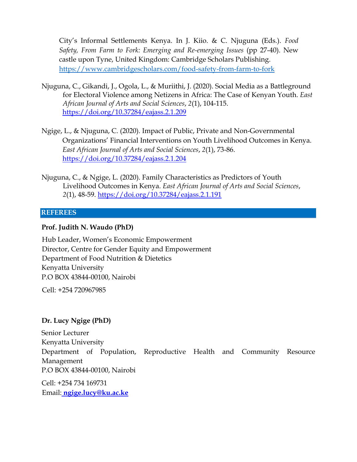City's Informal Settlements Kenya. In J. Kiio. & C. Njuguna (Eds.). *Food Safety, From Farm to Fork: Emerging and Re-emerging Issues* (pp 27-40). New castle upon Tyne, United Kingdom: Cambridge Scholars Publishing. <https://www.cambridgescholars.com/food-safety-from-farm-to-fork>

- Njuguna, C., Gikandi, J., Ogola, L., & Muriithi, J. (2020). Social Media as a Battleground for Electoral Violence among Netizens in Africa: The Case of Kenyan Youth. *East African Journal of Arts and Social Sciences*, *2*(1), 104-115. <https://doi.org/10.37284/eajass.2.1.209>
- Ngige, L., & Njuguna, C. (2020). Impact of Public, Private and Non-Governmental Organizations' Financial Interventions on Youth Livelihood Outcomes in Kenya. *East African Journal of Arts and Social Sciences*, *2*(1), 73-86. <https://doi.org/10.37284/eajass.2.1.204>
- Njuguna, C., & Ngige, L. (2020). Family Characteristics as Predictors of Youth Livelihood Outcomes in Kenya. *East African Journal of Arts and Social Sciences*, *2*(1), 48-59.<https://doi.org/10.37284/eajass.2.1.191>

#### **REFEREES**

### **Prof. Judith N. Waudo (PhD)**

Hub Leader, Women's Economic Empowerment Director, Centre for Gender Equity and Empowerment Department of Food Nutrition & Dietetics Kenyatta University P.O BOX 43844-00100, Nairobi

Cell: +254 720967985

### **Dr. Lucy Ngige (PhD)**

Senior Lecturer Kenyatta University Department of Population, Reproductive Health and Community Resource Management P.O BOX 43844-00100, Nairobi

Cell: +254 734 169731 Email: **ngige.lucy@ku.ac.ke**